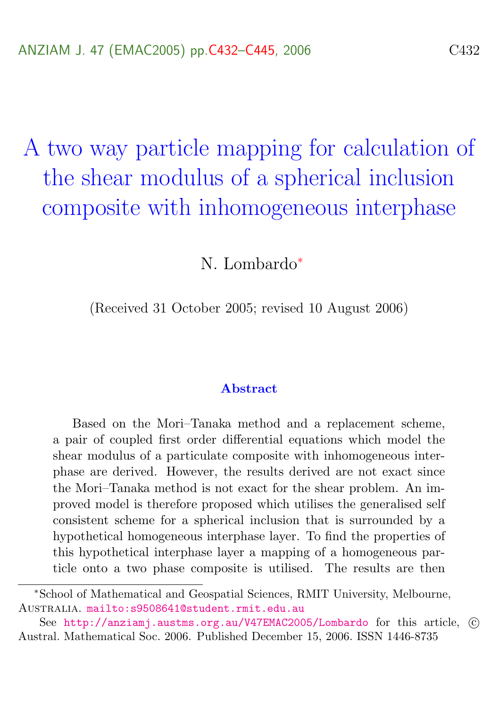<span id="page-0-0"></span>A two way particle mapping for calculation of the shear modulus of a spherical inclusion composite with inhomogeneous interphase

N. Lombardo<sup>∗</sup>

(Received 31 October 2005; revised 10 August 2006)

#### Abstract

Based on the Mori–Tanaka method and a replacement scheme, a pair of coupled first order differential equations which model the shear modulus of a particulate composite with inhomogeneous interphase are derived. However, the results derived are not exact since the Mori–Tanaka method is not exact for the shear problem. An improved model is therefore proposed which utilises the generalised self consistent scheme for a spherical inclusion that is surrounded by a hypothetical homogeneous interphase layer. To find the properties of this hypothetical interphase layer a mapping of a homogeneous particle onto a two phase composite is utilised. The results are then

<sup>∗</sup>School of Mathematical and Geospatial Sciences, RMIT University, Melbourne, Australia. <mailto:s9508641@student.rmit.edu.au>

See http://anziami.austms.org.au/V47EMAC2005/Lombardo for this article. © Austral. Mathematical Soc. 2006. Published December 15, 2006. ISSN 1446-8735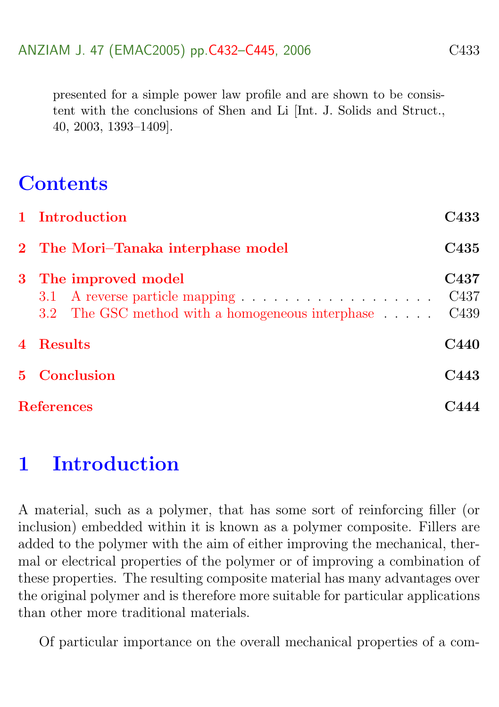presented for a simple power law profile and are shown to be consistent with the conclusions of Shen and Li [Int. J. Solids and Struct., 40, 2003, 1393–1409].

# **Contents**

|                   | 1 Introduction                                                                | C433                     |
|-------------------|-------------------------------------------------------------------------------|--------------------------|
|                   | 2 The Mori-Tanaka interphase model                                            | C435                     |
|                   | 3 The improved model<br>3.2 The GSC method with a homogeneous interphase C439 | C437<br>C <sub>437</sub> |
|                   | 4 Results                                                                     | C440                     |
|                   | 5 Conclusion                                                                  | C443                     |
| <b>References</b> |                                                                               |                          |

# <span id="page-1-0"></span>1 Introduction

A material, such as a polymer, that has some sort of reinforcing filler (or inclusion) embedded within it is known as a polymer composite. Fillers are added to the polymer with the aim of either improving the mechanical, thermal or electrical properties of the polymer or of improving a combination of these properties. The resulting composite material has many advantages over the original polymer and is therefore more suitable for particular applications than other more traditional materials.

Of particular importance on the overall mechanical properties of a com-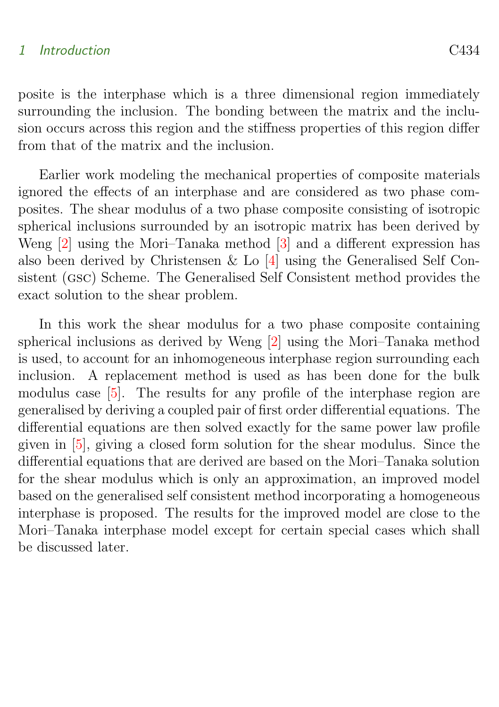#### <span id="page-2-1"></span>1 Introduction C434

posite is the interphase which is a three dimensional region immediately surrounding the inclusion. The bonding between the matrix and the inclusion occurs across this region and the stiffness properties of this region differ from that of the matrix and the inclusion.

Earlier work modeling the mechanical properties of composite materials ignored the effects of an interphase and are considered as two phase composites. The shear modulus of a two phase composite consisting of isotropic spherical inclusions surrounded by an isotropic matrix has been derived by Weng [\[2\]](#page-12-1) using the Mori–Tanaka method [\[3\]](#page-12-2) and a different expression has also been derived by Christensen & Lo [\[4\]](#page-12-3) using the Generalised Self Consistent (gsc) Scheme. The Generalised Self Consistent method provides the exact solution to the shear problem.

<span id="page-2-0"></span>In this work the shear modulus for a two phase composite containing spherical inclusions as derived by Weng [\[2\]](#page-12-1) using the Mori–Tanaka method is used, to account for an inhomogeneous interphase region surrounding each inclusion. A replacement method is used as has been done for the bulk modulus case [\[5\]](#page-13-0). The results for any profile of the interphase region are generalised by deriving a coupled pair of first order differential equations. The differential equations are then solved exactly for the same power law profile given in [\[5\]](#page-13-0), giving a closed form solution for the shear modulus. Since the differential equations that are derived are based on the Mori–Tanaka solution for the shear modulus which is only an approximation, an improved model based on the generalised self consistent method incorporating a homogeneous interphase is proposed. The results for the improved model are close to the Mori–Tanaka interphase model except for certain special cases which shall be discussed later.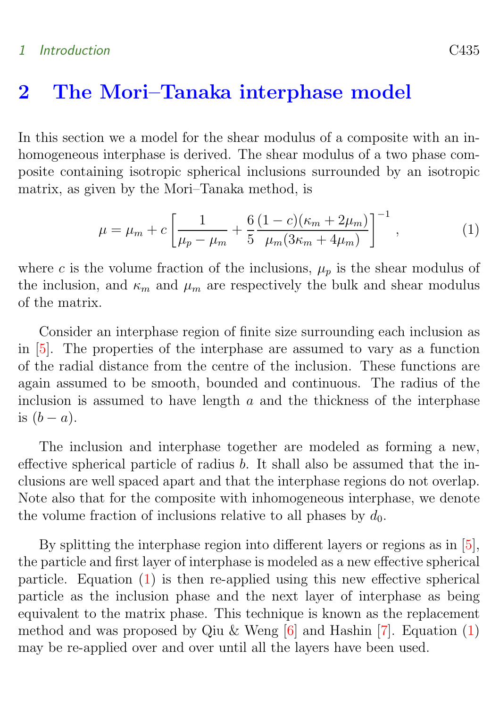#### <span id="page-3-1"></span>1 Introduction C435

## 2 The Mori–Tanaka interphase model

In this section we a model for the shear modulus of a composite with an inhomogeneous interphase is derived. The shear modulus of a two phase composite containing isotropic spherical inclusions surrounded by an isotropic matrix, as given by the Mori–Tanaka method, is

<span id="page-3-0"></span>
$$
\mu = \mu_m + c \left[ \frac{1}{\mu_p - \mu_m} + \frac{6}{5} \frac{(1 - c)(\kappa_m + 2\mu_m)}{\mu_m (3\kappa_m + 4\mu_m)} \right]^{-1}, \tag{1}
$$

where c is the volume fraction of the inclusions,  $\mu_p$  is the shear modulus of the inclusion, and  $\kappa_m$  and  $\mu_m$  are respectively the bulk and shear modulus of the matrix.

Consider an interphase region of finite size surrounding each inclusion as in [\[5\]](#page-13-0). The properties of the interphase are assumed to vary as a function of the radial distance from the centre of the inclusion. These functions are again assumed to be smooth, bounded and continuous. The radius of the inclusion is assumed to have length  $a$  and the thickness of the interphase is  $(b - a)$ .

The inclusion and interphase together are modeled as forming a new, effective spherical particle of radius b. It shall also be assumed that the inclusions are well spaced apart and that the interphase regions do not overlap. Note also that for the composite with inhomogeneous interphase, we denote the volume fraction of inclusions relative to all phases by  $d_0$ .

By splitting the interphase region into different layers or regions as in [\[5\]](#page-13-0), the particle and first layer of interphase is modeled as a new effective spherical particle. Equation [\(1\)](#page-3-0) is then re-applied using this new effective spherical particle as the inclusion phase and the next layer of interphase as being equivalent to the matrix phase. This technique is known as the replacement method and was proposed by Qiu & Weng  $[6]$  and Hashin  $[7]$ . Equation  $(1)$ may be re-applied over and over until all the layers have been used.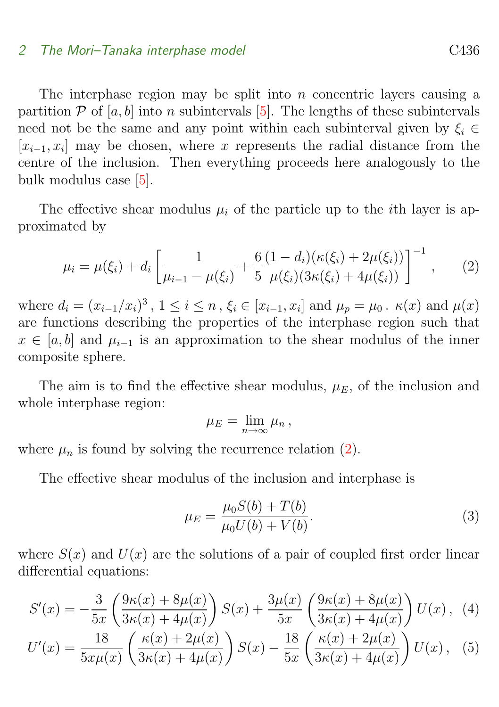#### <span id="page-4-4"></span>2 The Mori–Tanaka interphase model C436

The interphase region may be split into  $n$  concentric layers causing a partition  $P$  of [a, b] into n subintervals [\[5\]](#page-13-0). The lengths of these subintervals need not be the same and any point within each subinterval given by  $\xi_i \in$  $[x_{i-1}, x_i]$  may be chosen, where x represents the radial distance from the centre of the inclusion. Then everything proceeds here analogously to the bulk modulus case [\[5\]](#page-13-0).

The effective shear modulus  $\mu_i$  of the particle up to the *i*th layer is approximated by

<span id="page-4-0"></span>
$$
\mu_i = \mu(\xi_i) + d_i \left[ \frac{1}{\mu_{i-1} - \mu(\xi_i)} + \frac{6}{5} \frac{(1 - d_i)(\kappa(\xi_i) + 2\mu(\xi_i))}{\mu(\xi_i)(3\kappa(\xi_i) + 4\mu(\xi_i))} \right]^{-1}, \quad (2)
$$

where  $d_i = (x_{i-1}/x_i)^3$ ,  $1 \le i \le n$ ,  $\xi_i \in [x_{i-1}, x_i]$  and  $\mu_p = \mu_0$ .  $\kappa(x)$  and  $\mu(x)$ are functions describing the properties of the interphase region such that  $x \in [a, b]$  and  $\mu_{i-1}$  is an approximation to the shear modulus of the inner composite sphere.

The aim is to find the effective shear modulus,  $\mu_E$ , of the inclusion and whole interphase region:

<span id="page-4-3"></span>
$$
\mu_E=\lim_{n\to\infty}\mu_n,
$$

where  $\mu_n$  is found by solving the recurrence relation [\(2\)](#page-4-0).

The effective shear modulus of the inclusion and interphase is

<span id="page-4-2"></span><span id="page-4-1"></span>
$$
\mu_E = \frac{\mu_0 S(b) + T(b)}{\mu_0 U(b) + V(b)}.
$$
\n(3)

where  $S(x)$  and  $U(x)$  are the solutions of a pair of coupled first order linear differential equations:

$$
S'(x) = -\frac{3}{5x} \left( \frac{9\kappa(x) + 8\mu(x)}{3\kappa(x) + 4\mu(x)} \right) S(x) + \frac{3\mu(x)}{5x} \left( \frac{9\kappa(x) + 8\mu(x)}{3\kappa(x) + 4\mu(x)} \right) U(x), \tag{4}
$$

$$
U'(x) = \frac{18}{5x\mu(x)} \left( \frac{\kappa(x) + 2\mu(x)}{3\kappa(x) + 4\mu(x)} \right) S(x) - \frac{18}{5x} \left( \frac{\kappa(x) + 2\mu(x)}{3\kappa(x) + 4\mu(x)} \right) U(x), \tag{5}
$$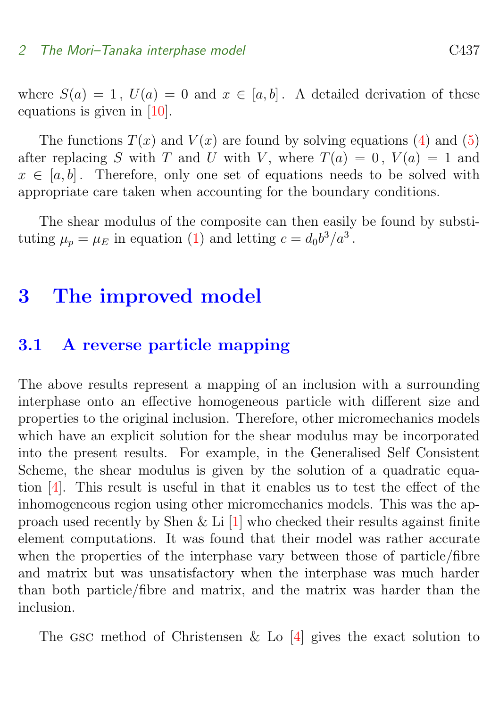<span id="page-5-2"></span>where  $S(a) = 1$ ,  $U(a) = 0$  and  $x \in [a, b]$ . A detailed derivation of these equations is given in [\[10\]](#page-13-3).

The functions  $T(x)$  and  $V(x)$  are found by solving equations [\(4\)](#page-4-1) and [\(5\)](#page-4-2) after replacing S with T and U with V, where  $T(a) = 0$ ,  $V(a) = 1$  and  $x \in [a, b]$ . Therefore, only one set of equations needs to be solved with appropriate care taken when accounting for the boundary conditions.

The shear modulus of the composite can then easily be found by substituting  $\mu_p = \mu_E$  in equation [\(1\)](#page-3-0) and letting  $c = d_0 b^3 / a^3$ .

# <span id="page-5-0"></span>3 The improved model

### <span id="page-5-1"></span>3.1 A reverse particle mapping

The above results represent a mapping of an inclusion with a surrounding interphase onto an effective homogeneous particle with different size and properties to the original inclusion. Therefore, other micromechanics models which have an explicit solution for the shear modulus may be incorporated into the present results. For example, in the Generalised Self Consistent Scheme, the shear modulus is given by the solution of a quadratic equation [\[4\]](#page-12-3). This result is useful in that it enables us to test the effect of the inhomogeneous region using other micromechanics models. This was the approach used recently by Shen & Li [\[1\]](#page-12-4) who checked their results against finite element computations. It was found that their model was rather accurate when the properties of the interphase vary between those of particle/fibre and matrix but was unsatisfactory when the interphase was much harder than both particle/fibre and matrix, and the matrix was harder than the inclusion.

The GSC method of Christensen & Lo  $[4]$  gives the exact solution to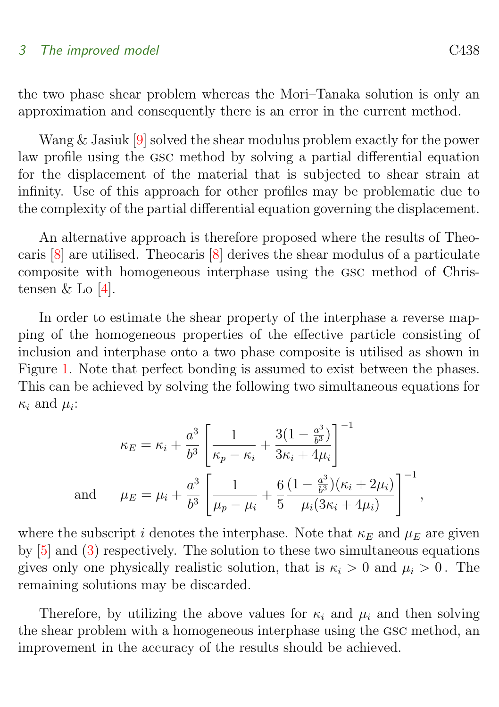#### <span id="page-6-0"></span>3 The improved model C438

the two phase shear problem whereas the Mori–Tanaka solution is only an approximation and consequently there is an error in the current method.

Wang & Jasiuk [\[9\]](#page-13-4) solved the shear modulus problem exactly for the power law profile using the gsc method by solving a partial differential equation for the displacement of the material that is subjected to shear strain at infinity. Use of this approach for other profiles may be problematic due to the complexity of the partial differential equation governing the displacement.

An alternative approach is therefore proposed where the results of Theocaris [\[8\]](#page-13-5) are utilised. Theocaris [\[8\]](#page-13-5) derives the shear modulus of a particulate composite with homogeneous interphase using the gsc method of Christensen  $&$  Lo [\[4\]](#page-12-3).

In order to estimate the shear property of the interphase a reverse mapping of the homogeneous properties of the effective particle consisting of inclusion and interphase onto a two phase composite is utilised as shown in Figure [1.](#page-7-1) Note that perfect bonding is assumed to exist between the phases. This can be achieved by solving the following two simultaneous equations for  $\kappa_i$  and  $\mu_i$ :

$$
\kappa_E = \kappa_i + \frac{a^3}{b^3} \left[ \frac{1}{\kappa_p - \kappa_i} + \frac{3(1 - \frac{a^3}{b^3})}{3\kappa_i + 4\mu_i} \right]^{-1}
$$
  
and 
$$
\mu_E = \mu_i + \frac{a^3}{b^3} \left[ \frac{1}{\mu_p - \mu_i} + \frac{6}{5} \frac{(1 - \frac{a^3}{b^3})(\kappa_i + 2\mu_i)}{\mu_i(3\kappa_i + 4\mu_i)} \right]^{-1},
$$

where the subscript i denotes the interphase. Note that  $\kappa_E$  and  $\mu_E$  are given by [\[5\]](#page-13-0) and [\(3\)](#page-4-3) respectively. The solution to these two simultaneous equations gives only one physically realistic solution, that is  $\kappa_i > 0$  and  $\mu_i > 0$ . The remaining solutions may be discarded.

Therefore, by utilizing the above values for  $\kappa_i$  and  $\mu_i$  and then solving the shear problem with a homogeneous interphase using the gsc method, an improvement in the accuracy of the results should be achieved.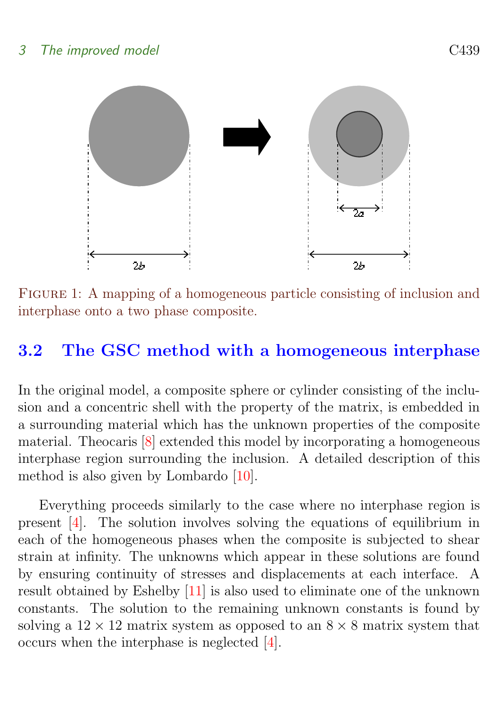<span id="page-7-2"></span>

<span id="page-7-1"></span>FIGURE 1: A mapping of a homogeneous particle consisting of inclusion and interphase onto a two phase composite.

## <span id="page-7-0"></span>3.2 The GSC method with a homogeneous interphase

In the original model, a composite sphere or cylinder consisting of the inclusion and a concentric shell with the property of the matrix, is embedded in a surrounding material which has the unknown properties of the composite material. Theocaris [\[8\]](#page-13-5) extended this model by incorporating a homogeneous interphase region surrounding the inclusion. A detailed description of this method is also given by Lombardo [\[10\]](#page-13-3).

Everything proceeds similarly to the case where no interphase region is present [\[4\]](#page-12-3). The solution involves solving the equations of equilibrium in each of the homogeneous phases when the composite is subjected to shear strain at infinity. The unknowns which appear in these solutions are found by ensuring continuity of stresses and displacements at each interface. A result obtained by Eshelby [\[11\]](#page-13-6) is also used to eliminate one of the unknown constants. The solution to the remaining unknown constants is found by solving a  $12 \times 12$  matrix system as opposed to an  $8 \times 8$  matrix system that occurs when the interphase is neglected [\[4\]](#page-12-3).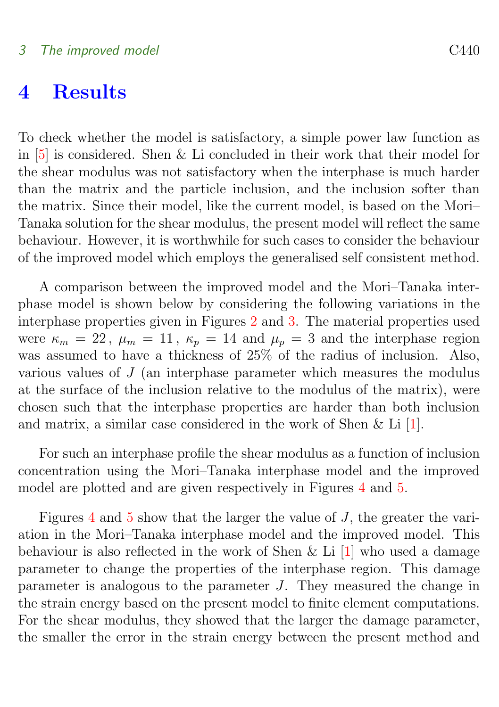## <span id="page-8-1"></span><span id="page-8-0"></span>4 Results

To check whether the model is satisfactory, a simple power law function as in [\[5\]](#page-13-0) is considered. Shen & Li concluded in their work that their model for the shear modulus was not satisfactory when the interphase is much harder than the matrix and the particle inclusion, and the inclusion softer than the matrix. Since their model, like the current model, is based on the Mori– Tanaka solution for the shear modulus, the present model will reflect the same behaviour. However, it is worthwhile for such cases to consider the behaviour of the improved model which employs the generalised self consistent method.

A comparison between the improved model and the Mori–Tanaka interphase model is shown below by considering the following variations in the interphase properties given in Figures [2](#page-9-0) and [3.](#page-10-0) The material properties used were  $\kappa_m = 22$ ,  $\mu_m = 11$ ,  $\kappa_p = 14$  and  $\mu_p = 3$  and the interphase region was assumed to have a thickness of 25% of the radius of inclusion. Also, various values of J (an interphase parameter which measures the modulus at the surface of the inclusion relative to the modulus of the matrix), were chosen such that the interphase properties are harder than both inclusion and matrix, a similar case considered in the work of Shen & Li [\[1\]](#page-12-4).

For such an interphase profile the shear modulus as a function of inclusion concentration using the Mori–Tanaka interphase model and the improved model are plotted and are given respectively in Figures [4](#page-10-1) and [5.](#page-11-1)

Figures [4](#page-10-1) and [5](#page-11-1) show that the larger the value of J, the greater the variation in the Mori–Tanaka interphase model and the improved model. This behaviour is also reflected in the work of Shen  $\&$  Li [\[1\]](#page-12-4) who used a damage parameter to change the properties of the interphase region. This damage parameter is analogous to the parameter J. They measured the change in the strain energy based on the present model to finite element computations. For the shear modulus, they showed that the larger the damage parameter, the smaller the error in the strain energy between the present method and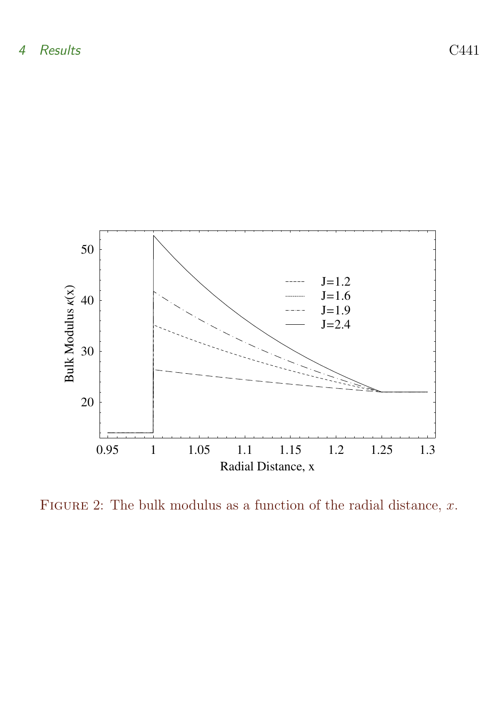

<span id="page-9-0"></span>FIGURE 2: The bulk modulus as a function of the radial distance,  $x$ .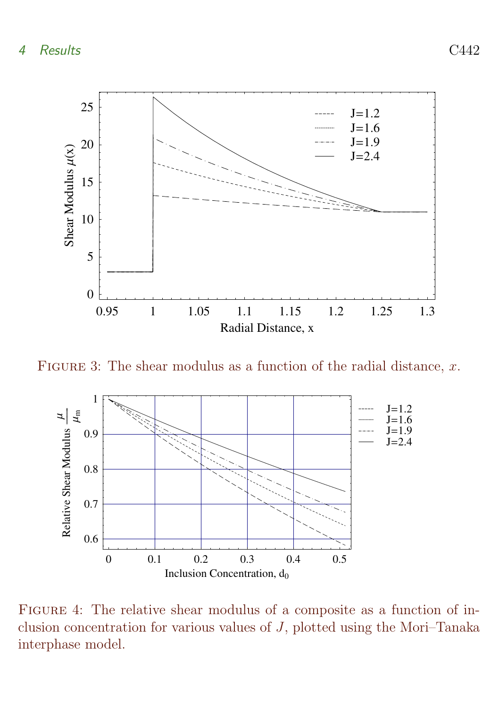

FIGURE 3: The shear modulus as a function of the radial distance,  $x$ .

<span id="page-10-0"></span>

<span id="page-10-1"></span>Figure 4: The relative shear modulus of a composite as a function of inclusion concentration for various values of J, plotted using the Mori–Tanaka interphase model.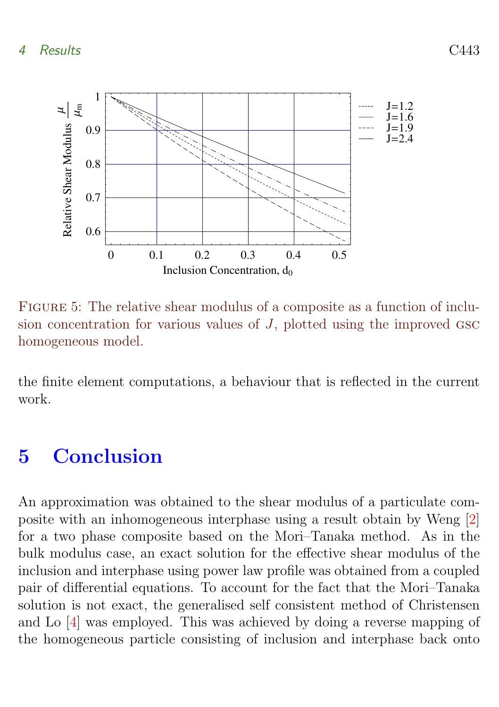## <span id="page-11-2"></span>4 Results C443



<span id="page-11-1"></span>Figure 5: The relative shear modulus of a composite as a function of inclusion concentration for various values of  $J$ , plotted using the improved  $\csc$ homogeneous model.

the finite element computations, a behaviour that is reflected in the current work.

# <span id="page-11-0"></span>5 Conclusion

An approximation was obtained to the shear modulus of a particulate composite with an inhomogeneous interphase using a result obtain by Weng [\[2\]](#page-12-1) for a two phase composite based on the Mori–Tanaka method. As in the bulk modulus case, an exact solution for the effective shear modulus of the inclusion and interphase using power law profile was obtained from a coupled pair of differential equations. To account for the fact that the Mori–Tanaka solution is not exact, the generalised self consistent method of Christensen and Lo [\[4\]](#page-12-3) was employed. This was achieved by doing a reverse mapping of the homogeneous particle consisting of inclusion and interphase back onto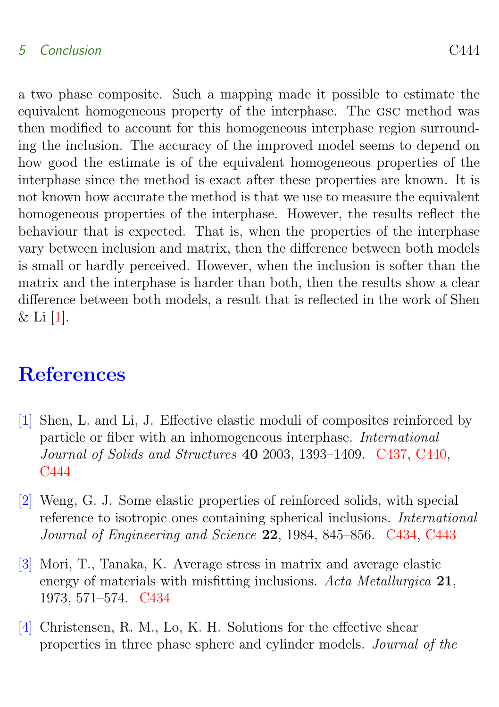### <span id="page-12-5"></span>5 Conclusion C444

a two phase composite. Such a mapping made it possible to estimate the equivalent homogeneous property of the interphase. The gsc method was then modified to account for this homogeneous interphase region surrounding the inclusion. The accuracy of the improved model seems to depend on how good the estimate is of the equivalent homogeneous properties of the interphase since the method is exact after these properties are known. It is not known how accurate the method is that we use to measure the equivalent homogeneous properties of the interphase. However, the results reflect the behaviour that is expected. That is, when the properties of the interphase vary between inclusion and matrix, then the difference between both models is small or hardly perceived. However, when the inclusion is softer than the matrix and the interphase is harder than both, then the results show a clear difference between both models, a result that is reflected in the work of Shen  $\&$  Li [\[1\]](#page-12-4).

# **References**

- <span id="page-12-4"></span><span id="page-12-0"></span>[1] Shen, L. and Li, J. Effective elastic moduli of composites reinforced by particle or fiber with an inhomogeneous interphase. International Journal of Solids and Structures 40 2003, 1393–1409. [C437,](#page-5-2) [C440,](#page-8-1) [C444](#page-12-5)
- <span id="page-12-1"></span>[2] Weng, G. J. Some elastic properties of reinforced solids, with special reference to isotropic ones containing spherical inclusions. International Journal of Engineering and Science 22, 1984, 845–856. [C434,](#page-2-1) [C443](#page-11-2)
- <span id="page-12-2"></span>[3] Mori, T., Tanaka, K. Average stress in matrix and average elastic energy of materials with misfitting inclusions. Acta Metallurgica 21, 1973, 571–574. [C434](#page-2-1)
- <span id="page-12-3"></span>[4] Christensen, R. M., Lo, K. H. Solutions for the effective shear properties in three phase sphere and cylinder models. Journal of the